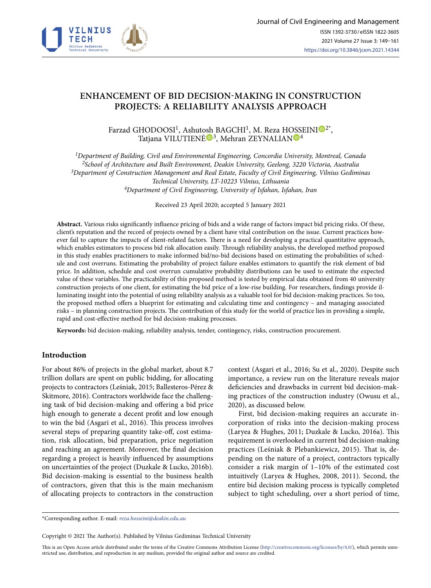

# **ENHANCEMENT OF BID DECISION-MAKING IN CONSTRUCTION PROJECTS: A RELIABILITY ANALYSIS APPROACH**

Farzad GHODOOSI<sup>1</sup>, Ashut[osh](https://orcid.org/0000-0002-1617-8685) BAGCHI<sup>1</sup>, M. Reza H[OSS](https://orcid.org/0000-0002-0681-2654)E[I](https://orcid.org/0000-0001-8675-736X)NI<sup> $\mathbf{Q}^2$ <sup>\*</sup>,</sup> Tatjana VILUTIENĖ<sup>®3</sup>, Mehran ZEYNALIAN<sup>®4</sup>

*1Department of Building, Civil and Environmental Engineering, Concordia University, Montreal, Canada 2School of Architecture and Built Environment, Deakin University, Geelong, 3220 Victoria, Australia 3Department of Construction Management and Real Estate, Faculty of Civil Engineering, Vilnius Gediminas Technical University, LT-10223 Vilnius, Lithuania 4Department of Civil Engineering, University of Isfahan, Isfahan, Iran*

Received 23 April 2020; accepted 5 January 2021

**Abstract.** Various risks significantly influence pricing of bids and a wide range of factors impact bid pricing risks. Of these, client's reputation and the record of projects owned by a client have vital contribution on the issue. Current practices however fail to capture the impacts of client-related factors. There is a need for developing a practical quantitative approach, which enables estimators to process bid risk allocation easily. Through reliability analysis, the developed method proposed in this study enables practitioners to make informed bid/no-bid decisions based on estimating the probabilities of schedule and cost overruns. Estimating the probability of project failure enables estimators to quantify the risk element of bid price. In addition, schedule and cost overrun cumulative probability distributions can be used to estimate the expected value of these variables. The practicability of this proposed method is tested by empirical data obtained from 40 university construction projects of one client, for estimating the bid price of a low-rise building. For researchers, findings provide illuminating insight into the potential of using reliability analysis as a valuable tool for bid decision-making practices. So too, the proposed method offers a blueprint for estimating and calculating time and contingency – and managing associated risks – in planning construction projects. The contribution of this study for the world of practice lies in providing a simple, rapid and cost-effective method for bid decision-making processes.

**Keywords:** bid decision-making, reliability analysis, tender, contingency, risks, construction procurement.

### **Introduction**

For about 86% of projects in the global market, about 8.7 trillion dollars are spent on public bidding, for allocating projects to contractors (Leśniak, 2015; Ballesteros-Pérez & Skitmore, 2016). Contractors worldwide face the challenging task of bid decision-making and offering a bid price high enough to generate a decent profit and low enough to win the bid (Asgari et al., 2016). This process involves several steps of preparing quantity take-off, cost estimation, risk allocation, bid preparation, price negotiation and reaching an agreement. Moreover, the final decision regarding a project is heavily influenced by assumptions on uncertainties of the project (Duzkale & Lucko, 2016b). Bid decision-making is essential to the business health of contractors, given that this is the main mechanism of allocating projects to contractors in the construction context (Asgari et al., 2016; Su et al., 2020). Despite such importance, a review run on the literature reveals major deficiencies and drawbacks in current bid decision-making practices of the construction industry (Owusu et al., 2020), as discussed below.

First, bid decision-making requires an accurate incorporation of risks into the decision-making process (Laryea & Hughes, 2011; Duzkale & Lucko, 2016a). This requirement is overlooked in current bid decision-making practices (Leśniak & Plebankiewicz, 2015). That is, depending on the nature of a project, contractors typically consider a risk margin of 1–10% of the estimated cost intuitively (Laryea & Hughes, 2008, 2011). Second, the entire bid decision making process is typically completed subject to tight scheduling, over a short period of time,

\*Corresponding author. E-mail: *reza.hosseini@deakin.edu.au*

Copyright © 2021 The Author(s). Published by Vilnius Gediminas Technical University

This is an Open Access article distributed under the terms of the Creative Commons Attribution License (<http://creativecommons.org/licenses/by/4.0/>), which permits unrestricted use, distribution, and reproduction in any medium, provided the original author and source are credited.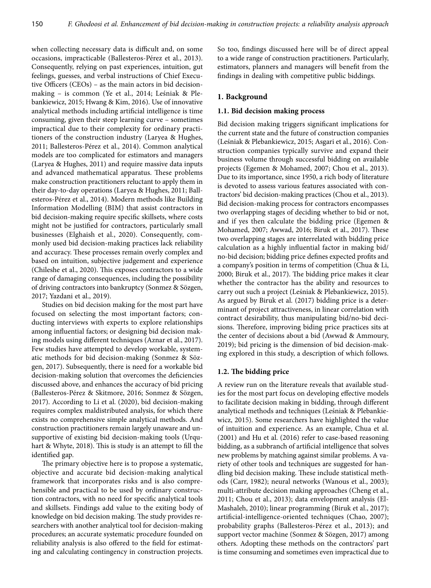when collecting necessary data is difficult and, on some occasions, impracticable (Ballesteros-Pérez et al., 2013). Consequently, relying on past experiences, intuition, gut feelings, guesses, and verbal instructions of Chief Executive Officers (CEOs) – as the main actors in bid decisionmaking – is common (Ye et al., 2014; Leśniak & Plebankiewicz, 2015; Hwang & Kim, 2016). Use of innovative analytical methods including artificial intelligence is time consuming, given their steep learning curve – sometimes impractical due to their complexity for ordinary practitioners of the construction industry (Laryea & Hughes, 2011; Ballesteros-Pérez et al., 2014). Common analytical models are too complicated for estimators and managers (Laryea & Hughes, 2011) and require massive data inputs and advanced mathematical apparatus. These problems make construction practitioners reluctant to apply them in their day-to-day operations (Laryea & Hughes, 2011; Ballesteros-Pérez et al., 2014). Modern methods like Building Information Modelling (BIM) that assist contractors in bid decision-making require specific skillsets, where costs might not be justified for contractors, particularly small businesses (Elghaish et al., 2020). Consequently, commonly used bid decision-making practices lack reliability and accuracy. These processes remain overly complex and based on intuition, subjective judgement and experience (Chileshe et al., 2020). This exposes contractors to a wide range of damaging consequences, including the possibility of driving contractors into bankruptcy (Sonmez & Sözgen, 2017; Yazdani et al., 2019).

Studies on bid decision making for the most part have focused on selecting the most important factors; conducting interviews with experts to explore relationships among influential factors; or designing bid decision making models using different techniques (Aznar et al., 2017). Few studies have attempted to develop workable, systematic methods for bid decision-making (Sonmez & Sözgen, 2017). Subsequently, there is need for a workable bid decision-making solution that overcomes the deficiencies discussed above, and enhances the accuracy of bid pricing (Ballesteros-Pérez & Skitmore, 2016; Sonmez & Sözgen, 2017). According to Li et al. (2020), bid decision-making requires complex maldistributed analysis, for which there exists no comprehensive simple analytical methods. And construction practitioners remain largely unaware and unsupportive of existing bid decision-making tools (Urquhart & Whyte, 2018). This is study is an attempt to fill the identified gap.

The primary objective here is to propose a systematic, objective and accurate bid decision-making analytical framework that incorporates risks and is also comprehensible and practical to be used by ordinary construction contractors, with no need for specific analytical tools and skillsets. Findings add value to the exiting body of knowledge on bid decision making. The study provides researchers with another analytical tool for decision-making procedures; an accurate systematic procedure founded on reliability analysis is also offered to the field for estimating and calculating contingency in construction projects.

So too, findings discussed here will be of direct appeal to a wide range of construction practitioners. Particularly, estimators, planners and managers will benefit from the findings in dealing with competitive public biddings.

# **1. Background**

# **1.1. Bid decision making process**

Bid decision making triggers significant implications for the current state and the future of construction companies (Leśniak & Plebankiewicz, 2015; Asgari et al., 2016). Construction companies typically survive and expand their business volume through successful bidding on available projects (Egemen & Mohamed, 2007; Chou et al., 2013). Due to its importance, since 1950, a rich body of literature is devoted to assess various features associated with contractors' bid decision-making practices (Chou et al., 2013). Bid decision-making process for contractors encompasses two overlapping stages of deciding whether to bid or not, and if yes then calculate the bidding price (Egemen & Mohamed, 2007; Awwad, 2016; Biruk et al., 2017). These two overlapping stages are interrelated with bidding price calculation as a highly influential factor in making bid/ no-bid decision; bidding price defines expected profits and a company's position in terms of competition (Chua & Li, 2000; Biruk et al., 2017). The bidding price makes it clear whether the contractor has the ability and resources to carry out such a project (Leśniak & Plebankiewicz, 2015). As argued by Biruk et al. (2017) bidding price is a determinant of project attractiveness, in linear correlation with contract desirability, thus manipulating bid/no-bid decisions. Therefore, improving biding price practices sits at the center of decisions about a bid (Awwad & Ammoury, 2019); bid pricing is the dimension of bid decision-making explored in this study, a description of which follows.

### **1.2. The bidding price**

A review run on the literature reveals that available studies for the most part focus on developing effective models to facilitate decision making in bidding, through different analytical methods and techniques (Leśniak & Plebankiewicz, 2015). Some researchers have highlighted the value of intuition and experience. As an example, Chua et al. (2001) and Hu et al. (2016) refer to case-based reasoning bidding, as a subbranch of artificial intelligence that solves new problems by matching against similar problems. A variety of other tools and techniques are suggested for handling bid decision making. These include statistical methods (Carr, 1982); neural networks (Wanous et al., 2003); multi-attribute decision making approaches (Cheng et al., 2011; Chou et al., 2013); data envelopment analysis (El-Mashaleh, 2010); linear programming (Biruk et al., 2017); artificial-intelligence-oriented techniques (Chao, 2007); probability graphs (Ballesteros-Pérez et al., 2013); and support vector machine (Sonmez & Sözgen, 2017) among others. Adopting these methods on the contractors' part is time consuming and sometimes even impractical due to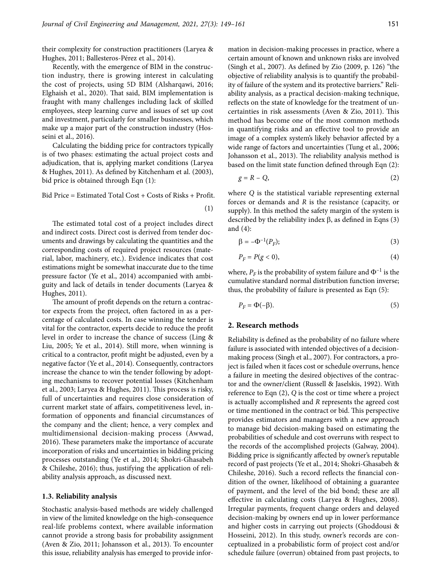their complexity for construction practitioners (Laryea & Hughes, 2011; Ballesteros-Pérez et al., 2014).

Recently, with the emergence of BIM in the construction industry, there is growing interest in calculating the cost of projects, using 5D BIM (Alsharqawi, 2016; Elghaish et al., 2020). That said, BIM implementation is fraught with many challenges including lack of skilled employees, steep learning curve and issues of set up cost and investment, particularly for smaller businesses, which make up a major part of the construction industry (Hosseini et al., 2016).

Calculating the bidding price for contractors typically is of two phases: estimating the actual project costs and adjudication, that is, applying market conditions (Laryea & Hughes, 2011). As defined by Kitchenham et al. (2003), bid price is obtained through Eqn (1):

Bid Price = Estimated Total Cost + Costs of Risks + Profit.

The estimated total cost of a project includes direct and indirect costs. Direct cost is derived from tender documents and drawings by calculating the quantities and the corresponding costs of required project resources (material, labor, machinery, etc.). Evidence indicates that cost estimations might be somewhat inaccurate due to the time pressure factor (Ye et al., 2014) accompanied with ambiguity and lack of details in tender documents (Laryea & Hughes, 2011).

The amount of profit depends on the return a contractor expects from the project, often factored in as a percentage of calculated costs. In case winning the tender is vital for the contractor, experts decide to reduce the profit level in order to increase the chance of success (Ling & Liu, 2005; Ye et al., 2014). Still more, when winning is critical to a contractor, profit might be adjusted, even by a negative factor (Ye et al., 2014). Consequently, contractors increase the chance to win the tender following by adopting mechanisms to recover potential losses (Kitchenham et al., 2003; Laryea & Hughes, 2011). This process is risky, full of uncertainties and requires close consideration of current market state of affairs, competitiveness level, information of opponents and financial circumstances of the company and the client; hence, a very complex and multidimensional decision-making process (Awwad, 2016). These parameters make the importance of accurate incorporation of risks and uncertainties in bidding pricing processes outstanding (Ye et al., 2014; Shokri-Ghasabeh & Chileshe, 2016); thus, justifying the application of reliability analysis approach, as discussed next.

#### **1.3. Reliability analysis**

Stochastic analysis-based methods are widely challenged in view of the limited knowledge on the high-consequence real-life problems context, where available information cannot provide a strong basis for probability assignment (Aven & Zio, 2011; Johansson et al., 2013). To encounter this issue, reliability analysis has emerged to provide information in decision-making processes in practice, where a certain amount of known and unknown risks are involved (Singh et al., 2007). As defined by Zio (2009, p. 126) "the objective of reliability analysis is to quantify the probability of failure of the system and its protective barriers." Reliability analysis, as a practical decision-making technique, reflects on the state of knowledge for the treatment of uncertainties in risk assessments (Aven & Zio, 2011). This method has become one of the most common methods in quantifying risks and an effective tool to provide an image of a complex system's likely behavior affected by a wide range of factors and uncertainties (Tung et al., 2006; Johansson et al., 2013). The reliability analysis method is based on the limit state function defined through Eqn (2):

$$
g = R - Q,\tag{2}
$$

where *Q* is the statistical variable representing external forces or demands and *R* is the resistance (capacity, or supply). In this method the safety margin of the system is described by the reliability index  $\beta$ , as defined in Eqns (3) and (4):

$$
\beta = -\Phi^{-1}(P_F); \tag{3}
$$

$$
P_F = P(g < 0),\tag{4}
$$

where,  $P_F$  is the probability of system failure and  $\Phi^{-1}$  is the cumulative standard normal distribution function inverse; thus, the probability of failure is presented as Eqn (5):

$$
P_F = \Phi(-\beta). \tag{5}
$$

### **2. Research methods**

(1)

Reliability is defined as the probability of no failure where failure is associated with intended objectives of a decisionmaking process (Singh et al., 2007). For contractors, a project is failed when it faces cost or schedule overruns, hence a failure in meeting the desired objectives of the contractor and the owner/client (Russell & Jaselskis, 1992). With reference to Eqn (2), *Q* is the cost or time where a project is actually accomplished and *R* represents the agreed cost or time mentioned in the contract or bid. This perspective provides estimators and managers with a new approach to manage bid decision-making based on estimating the probabilities of schedule and cost overruns with respect to the records of the accomplished projects (Galway, 2004). Bidding price is significantly affected by owner's reputable record of past projects (Ye et al., 2014; Shokri-Ghasabeh & Chileshe, 2016). Such a record reflects the financial condition of the owner, likelihood of obtaining a guarantee of payment, and the level of the bid bond; these are all effective in calculating costs (Laryea & Hughes, 2008). Irregular payments, frequent change orders and delayed decision-making by owners end up in lower performance and higher costs in carrying out projects (Ghoddousi & Hosseini, 2012). In this study, owner's records are conceptualized in a probabilistic form of project cost and/or schedule failure (overrun) obtained from past projects, to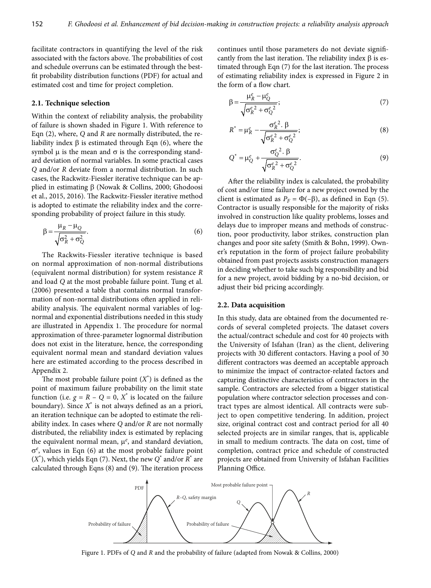facilitate contractors in quantifying the level of the risk associated with the factors above. The probabilities of cost and schedule overruns can be estimated through the bestfit probability distribution functions (PDF) for actual and estimated cost and time for project completion.

#### **2.1. Technique selection**

Within the context of reliability analysis, the probability of failure is shown shaded in Figure 1. With reference to Eqn (2), where, *Q* and *R* are normally distributed, the reliability index  $\beta$  is estimated through Eqn (6), where the symbol  $\mu$  is the mean and  $\sigma$  is the corresponding standard deviation of normal variables. In some practical cases *Q* and/or *R* deviate from a normal distribution. In such cases, the Rackwitz-Fiessler iterative technique can be applied in estimating  $\beta$  (Nowak & Collins, 2000; Ghodoosi et al., 2015, 2016). The Rackwitz-Fiessler iterative method is adopted to estimate the reliability index and the corresponding probability of project failure in this study.

$$
\beta = \frac{\mu_R - \mu_Q}{\sqrt{\sigma_R^2 + \sigma_Q^2}}.\tag{6}
$$

The Rackwits-Fiessler iterative technique is based on normal approximation of non-normal distributions (equivalent normal distribution) for system resistance *R* and load *Q* at the most probable failure point. Tung et al. (2006) presented a table that contains normal transformation of non-normal distributions often applied in reliability analysis. The equivalent normal variables of lognormal and exponential distributions needed in this study are illustrated in Appendix 1. The procedure for normal approximation of three-parameter lognormal distribution does not exist in the literature, hence, the corresponding equivalent normal mean and standard deviation values here are estimated according to the process described in Appendix 2.

The most probable failure point  $(X^*)$  is defined as the point of maximum failure probability on the limit state function (i.e.  $g = R - Q = 0$ ,  $X^*$  is located on the failure boundary). Since *X*\* is not always defined as an a priori, an iteration technique can be adopted to estimate the reliability index. In cases where *Q* and/or *R* are not normally distributed, the reliability index is estimated by replacing the equivalent normal mean,  $\mu^e$ , and standard deviation, s*e* , values in Eqn (6) at the most probable failure point  $(X^*)$ , which yields Eqn (7). Next, the new  $Q^*$  and/or  $R^*$  are calculated through Eqns (8) and (9). The iteration process

continues until those parameters do not deviate significantly from the last iteration. The reliability index  $\beta$  is estimated through Eqn (7) for the last iteration. The process of estimating reliability index is expressed in Figure 2 in the form of a flow chart.

$$
\beta = \frac{\mu_R^e - \mu_Q^e}{\sqrt{\sigma_R^e + \sigma_Q^e}^2};\tag{7}
$$

$$
R^* = \mu_R^e - \frac{\sigma_R^e^2 \cdot \beta}{\sqrt{\sigma_R^e^2 + \sigma_Q^e^2}};
$$
 (8)

$$
Q^* = \mu_Q^e + \frac{\sigma_Q^{e\,2} \cdot \beta}{\sqrt{\sigma_R^{e\,2} + \sigma_Q^{e\,2}}}.
$$
\n(9)

After the reliability index is calculated, the probability of cost and/or time failure for a new project owned by the client is estimated as  $P_F = \Phi(-\beta)$ , as defined in Eqn (5). Contractor is usually responsible for the majority of risks involved in construction like quality problems, losses and delays due to improper means and methods of construction, poor productivity, labor strikes, construction plan changes and poor site safety (Smith & Bohn, 1999). Owner's reputation in the form of project failure probability obtained from past projects assists construction managers in deciding whether to take such big responsibility and bid for a new project, avoid bidding by a no-bid decision, or adjust their bid pricing accordingly.

#### **2.2. Data acquisition**

In this study, data are obtained from the documented records of several completed projects. The dataset covers the actual/contract schedule and cost for 40 projects with the University of Isfahan (Iran) as the client, delivering projects with 30 different contactors. Having a pool of 30 different contractors was deemed an acceptable approach to minimize the impact of contractor-related factors and capturing distinctive characteristics of contractors in the sample. Contractors are selected from a bigger statistical population where contractor selection processes and contract types are almost identical. All contracts were subject to open competitive tendering. In addition, project size, original contract cost and contract period for all 40 selected projects are in similar ranges, that is, applicable in small to medium contracts. The data on cost, time of completion, contract price and schedule of constructed projects are obtained from University of Isfahan Facilities Planning Office.



Figure 1. PDFs of *Q* and *R* and the probability of failure (adapted from Nowak & Collins, 2000)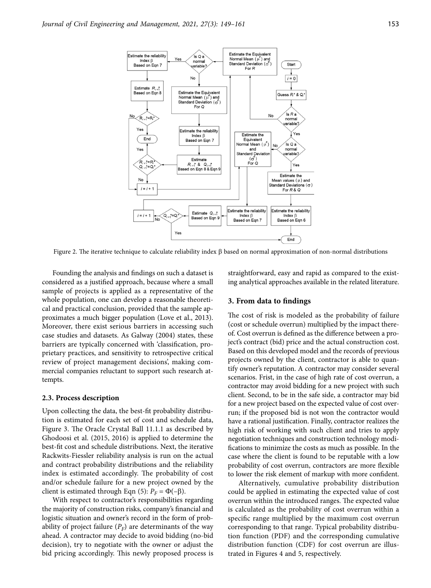

Figure 2. The iterative technique to calculate reliability index  $\beta$  based on normal approximation of non-normal distributions

Founding the analysis and findings on such a dataset is considered as a justified approach, because where a small sample of projects is applied as a representative of the whole population, one can develop a reasonable theoretical and practical conclusion, provided that the sample approximates a much bigger population (Love et al., 2013). Moreover, there exist serious barriers in accessing such case studies and datasets. As Galway (2004) states, these barriers are typically concerned with 'classification, proprietary practices, and sensitivity to retrospective critical review of project management decisions', making commercial companies reluctant to support such research attempts.

#### **2.3. Process description**

Upon collecting the data, the best-fit probability distribution is estimated for each set of cost and schedule data, Figure 3. The Oracle Crystal Ball 11.1.1 as described by Ghodoosi et al. (2015, 2016) is applied to determine the best-fit cost and schedule distributions. Next, the iterative Rackwits-Fiessler reliability analysis is run on the actual and contract probability distributions and the reliability index is estimated accordingly. The probability of cost and/or schedule failure for a new project owned by the client is estimated through Eqn (5):  $P_F = \Phi(-\beta)$ .

With respect to contractor's responsibilities regarding the majority of construction risks, company's financial and logistic situation and owner's record in the form of probability of project failure  $(P_F)$  are determinants of the way ahead. A contractor may decide to avoid bidding (no-bid decision), try to negotiate with the owner or adjust the bid pricing accordingly. This newly proposed process is straightforward, easy and rapid as compared to the existing analytical approaches available in the related literature.

#### **3. From data to findings**

The cost of risk is modeled as the probability of failure (cost or schedule overrun) multiplied by the impact thereof. Cost overrun is defined as the difference between a project's contract (bid) price and the actual construction cost. Based on this developed model and the records of previous projects owned by the client, contractor is able to quantify owner's reputation. A contractor may consider several scenarios. Frist, in the case of high rate of cost overrun, a contractor may avoid bidding for a new project with such client. Second, to be in the safe side, a contractor may bid for a new project based on the expected value of cost overrun; if the proposed bid is not won the contractor would have a rational justification. Finally, contractor realizes the high risk of working with such client and tries to apply negotiation techniques and construction technology modifications to minimize the costs as much as possible. In the case where the client is found to be reputable with a low probability of cost overrun, contractors are more flexible to lower the risk element of markup with more confident.

Alternatively, cumulative probability distribution could be applied in estimating the expected value of cost overrun within the introduced ranges. The expected value is calculated as the probability of cost overrun within a specific range multiplied by the maximum cost overrun corresponding to that range. Typical probability distribution function (PDF) and the corresponding cumulative distribution function (CDF) for cost overrun are illustrated in Figures 4 and 5, respectively.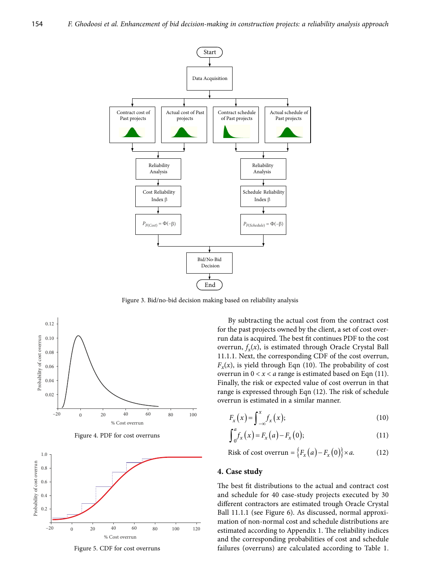

Figure 3. Bid/no-bid decision making based on reliability analysis



Figure 4. PDF for cost overruns



Figure 5. CDF for cost overruns

By subtracting the actual cost from the contract cost for the past projects owned by the client, a set of cost overrun data is acquired. The best fit continues PDF to the cost overrun,  $f_x(x)$ , is estimated through Oracle Crystal Ball 11.1.1. Next, the corresponding CDF of the cost overrun,  $F<sub>x</sub>(x)$ , is yield through Eqn (10). The probability of cost overrun in  $0 < x < a$  range is estimated based on Eqn (11). Finally, the risk or expected value of cost overrun in that range is expressed through Eqn (12). The risk of schedule overrun is estimated in a similar manner.

$$
F_x(x) = \int_{-\infty}^x f_x(x); \tag{10}
$$

$$
\int_{0}^{a} f_{x}(x) = F_{x}(a) - F_{x}(0); \tag{11}
$$

Risk of cost overrun = 
$$
\{F_x(a) - F_x(0)\} \times a
$$
. (12)

# **4. Case study**

The best fit distributions to the actual and contract cost and schedule for 40 case-study projects executed by 30 different contractors are estimated trough Oracle Crystal Ball 11.1.1 (see Figure 6). As discussed, normal approximation of non-normal cost and schedule distributions are estimated according to Appendix 1. The reliability indices and the corresponding probabilities of cost and schedule failures (overruns) are calculated according to Table 1.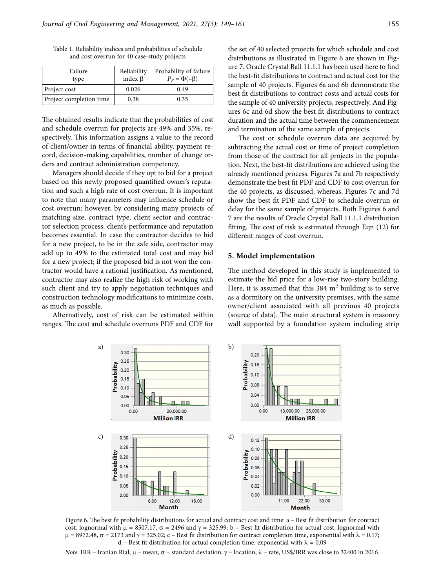| Failure<br>type         | Reliability<br>index $\beta$ | Probability of failure<br>$P_E = \Phi(-\beta)$ |
|-------------------------|------------------------------|------------------------------------------------|
| Project cost            | 0.026                        | 0.49                                           |
| Project completion time | 0.38                         | 0.35                                           |

Table 1. Reliability indices and probabilities of schedule and cost overrun for 40 case-study projects

The obtained results indicate that the probabilities of cost and schedule overrun for projects are 49% and 35%, respectively. This information assigns a value to the record of client/owner in terms of financial ability, payment record, decision-making capabilities, number of change orders and contract administration competency.

Managers should decide if they opt to bid for a project based on this newly proposed quantified owner's reputation and such a high rate of cost overrun. It is important to note that many parameters may influence schedule or cost overrun; however, by considering many projects of matching size, contract type, client sector and contractor selection process, client's performance and reputation becomes essential. In case the contractor decides to bid for a new project, to be in the safe side, contractor may add up to 49% to the estimated total cost and may bid for a new project; if the proposed bid is not won the contractor would have a rational justification. As mentioned, contractor may also realize the high risk of working with such client and try to apply negotiation techniques and construction technology modifications to minimize costs, as much as possible.

Alternatively, cost of risk can be estimated within ranges. The cost and schedule overruns PDF and CDF for

the set of 40 selected projects for which schedule and cost distributions as illustrated in Figure 6 are shown in Figure 7. Oracle Crystal Ball 11.1.1 has been used here to find the best-fit distributions to contract and actual cost for the sample of 40 projects. Figures 6a and 6b demonstrate the best fit distributions to contract costs and actual costs for the sample of 40 university projects, respectively. And Figures 6c and 6d show the best fit distributions to contract duration and the actual time between the commencement and termination of the same sample of projects.

The cost or schedule overrun data are acquired by subtracting the actual cost or time of project completion from those of the contract for all projects in the population. Next, the best-fit distributions are achieved using the already mentioned process. Figures 7a and 7b respectively demonstrate the best fit PDF and CDF to cost overrun for the 40 projects, as discussed; whereas, Figures 7c and 7d show the best fit PDF and CDF to schedule overrun or delay for the same sample of projects. Both Figures 6 and 7 are the results of Oracle Crystal Ball 11.1.1 distribution fitting. The cost of risk is estimated through Eqn (12) for different ranges of cost overrun.

#### **5. Model implementation**

The method developed in this study is implemented to estimate the bid price for a low-rise two-story building. Here, it is assumed that this  $384 \text{ m}^2$  building is to serve as a dormitory on the university premises, with the same owner/client associated with all previous 40 projects (source of data). The main structural system is masonry wall supported by a foundation system including strip



Figure 6. The best fit probability distributions for actual and contract cost and time: a – Best fit distribution for contract cost, lognormal with  $\mu$  = 8507.17,  $\sigma$  = 2496 and  $\gamma$  = 325.99; b – Best fit distribution for actual cost, lognormal with  $\mu = 8972.48$ ,  $\sigma = 2173$  and  $\gamma = 325.02$ ; c – Best fit distribution for contract completion time, exponential with  $\lambda = 0.17$ ; d – Best fit distribution for actual completion time, exponential with  $\lambda = 0.09$ 

*Note:* IRR – Iranian Rial;  $\mu$  – mean;  $\sigma$  – standard deviation;  $\gamma$  – location;  $\lambda$  – rate, US\$/IRR was close to 32400 in 2016.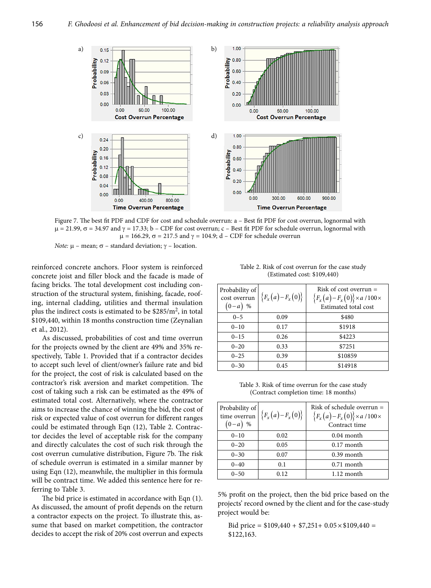

Figure 7. The best fit PDF and CDF for cost and schedule overrun: a – Best fit PDF for cost overrun, lognormal with  $\mu$  = 21.99,  $\sigma$  = 34.97 and  $\gamma$  = 17.33; b – CDF for cost overrun; c – Best fit PDF for schedule overrun, lognormal with  $\mu$  = 166.29,  $\sigma$  = 217.5 and  $\gamma$  = 104.9; d – CDF for schedule overrun *Note:*  $\mu$  – mean;  $\sigma$  – standard deviation;  $\gamma$  – location.

reinforced concrete anchors. Floor system is reinforced concrete joist and filler block and the facade is made of facing bricks. The total development cost including construction of the structural system, finishing, facade, roofing, internal cladding, utilities and thermal insulation

plus the indirect costs is estimated to be  $$285/m<sup>2</sup>$ , in total \$109,440, within 18 months construction time (Zeynalian et al., 2012). As discussed, probabilities of cost and time overrun

for the projects owned by the client are 49% and 35% respectively, Table 1. Provided that if a contractor decides to accept such level of client/owner's failure rate and bid for the project, the cost of risk is calculated based on the contractor's risk aversion and market competition. The cost of taking such a risk can be estimated as the 49% of estimated total cost. Alternatively, where the contractor aims to increase the chance of winning the bid, the cost of risk or expected value of cost overrun for different ranges could be estimated through Eqn (12), Table 2. Contractor decides the level of acceptable risk for the company and directly calculates the cost of such risk through the cost overrun cumulative distribution, Figure 7b. The risk of schedule overrun is estimated in a similar manner by using Eqn (12), meanwhile, the multiplier in this formula will be contract time. We added this sentence here for referring to Table 3.

The bid price is estimated in accordance with Eqn (1). As discussed, the amount of profit depends on the return a contractor expects on the project. To illustrate this, assume that based on market competition, the contractor decides to accept the risk of 20% cost overrun and expects

Table 2. Risk of cost overrun for the case study (Estimated cost: \$109,440)

| Probability of<br>cost overrun<br>$(0-a)$ % | $\{F_x(a) - F_x(0)\}\$ | Risk of cost overrun $=$<br>$\left\{F_x(a)-F_x(0)\right\} \times a/100 \times$<br>Estimated total cost |  |
|---------------------------------------------|------------------------|--------------------------------------------------------------------------------------------------------|--|
| $0 - 5$                                     | 0.09                   | \$480                                                                                                  |  |
| $0 - 10$                                    | 0.17                   | \$1918                                                                                                 |  |
| $0 - 15$                                    | 0.26                   | \$4223                                                                                                 |  |
| $0 - 20$                                    | 0.33                   | \$7251                                                                                                 |  |
| $0 - 25$                                    | 0.39                   | \$10859                                                                                                |  |
| $0 - 30$                                    | 0.45                   | \$14918                                                                                                |  |

Table 3. Risk of time overrun for the case study (Contract completion time: 18 months)

| Probability of<br>time overrun<br>$(0-a)$ % | ${F_x(a) - F_x(0)}$ | Risk of schedule overrun $=$<br>$\left\{F_x(a)-F_x(0)\right\} \times a/100 \times$<br>Contract time |  |
|---------------------------------------------|---------------------|-----------------------------------------------------------------------------------------------------|--|
| $0 - 10$                                    | 0.02                | $0.04$ month                                                                                        |  |
| $0 - 20$                                    | 0.05                | $0.17$ month                                                                                        |  |
| $0 - 30$                                    | 0.07                | $0.39$ month                                                                                        |  |
| $0 - 40$                                    | 0.1                 | $0.71$ month                                                                                        |  |
| $0 - 50$                                    | 0.12                | $1.12$ month                                                                                        |  |

5% profit on the project, then the bid price based on the projects' record owned by the client and for the case-study project would be:

Bid price =  $$109,440 + $7,251 + 0.05 \times $109,440 =$ \$122,163.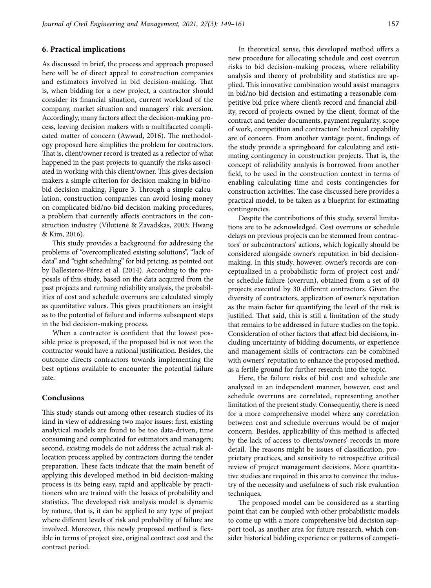#### **6. Practical implications**

As discussed in brief, the process and approach proposed here will be of direct appeal to construction companies and estimators involved in bid decision-making. That is, when bidding for a new project, a contractor should consider its financial situation, current workload of the company, market situation and managers' risk aversion. Accordingly, many factors affect the decision-making process, leaving decision makers with a multifaceted complicated matter of concern (Awwad, 2016). The methodology proposed here simplifies the problem for contractors. That is, client/owner record is treated as a reflector of what happened in the past projects to quantify the risks associated in working with this client/owner. This gives decision makers a simple criterion for decision making in bid/nobid decision-making, Figure 3. Through a simple calculation, construction companies can avoid losing money on complicated bid/no-bid decision making procedures, a problem that currently affects contractors in the construction industry (Vilutienė & Zavadskas, 2003; Hwang & Kim, 2016).

This study provides a background for addressing the problems of "overcomplicated existing solutions", "lack of data" and "tight scheduling" for bid pricing, as pointed out by Ballesteros-Pérez et al. (2014). According to the proposals of this study, based on the data acquired from the past projects and running reliability analysis, the probabilities of cost and schedule overruns are calculated simply as quantitative values. This gives practitioners an insight as to the potential of failure and informs subsequent steps in the bid decision-making process.

When a contractor is confident that the lowest possible price is proposed, if the proposed bid is not won the contractor would have a rational justification. Besides, the outcome directs contractors towards implementing the best options available to encounter the potential failure rate.

### **Conclusions**

This study stands out among other research studies of its kind in view of addressing two major issues: first, existing analytical models are found to be too data-driven, time consuming and complicated for estimators and managers; second, existing models do not address the actual risk allocation process applied by contractors during the tender preparation. These facts indicate that the main benefit of applying this developed method in bid decision-making process is its being easy, rapid and applicable by practitioners who are trained with the basics of probability and statistics. The developed risk analysis model is dynamic by nature, that is, it can be applied to any type of project where different levels of risk and probability of failure are involved. Moreover, this newly proposed method is flexible in terms of project size, original contract cost and the contract period.

In theoretical sense, this developed method offers a new procedure for allocating schedule and cost overrun risks to bid decision-making process, where reliability analysis and theory of probability and statistics are applied. This innovative combination would assist managers in bid/no-bid decision and estimating a reasonable competitive bid price where client's record and financial ability, record of projects owned by the client, format of the contract and tender documents, payment regularity, scope of work, competition and contractors' technical capability are of concern. From another vantage point, findings of the study provide a springboard for calculating and estimating contingency in construction projects. That is, the concept of reliability analysis is borrowed from another field, to be used in the construction context in terms of enabling calculating time and costs contingencies for construction activities. The case discussed here provides a practical model, to be taken as a blueprint for estimating contingencies.

Despite the contributions of this study, several limitations are to be acknowledged. Cost overruns or schedule delays on previous projects can be stemmed from contractors' or subcontractors' actions, which logically should be considered alongside owner's reputation in bid decisionmaking. In this study, however, owner's records are conceptualized in a probabilistic form of project cost and/ or schedule failure (overrun), obtained from a set of 40 projects executed by 30 different contractors. Given the diversity of contractors, application of owner's reputation as the main factor for quantifying the level of the risk is justified. That said, this is still a limitation of the study that remains to be addressed in future studies on the topic. Consideration of other factors that affect bid decisions, including uncertainty of bidding documents, or experience and management skills of contractors can be combined with owners' reputation to enhance the proposed method, as a fertile ground for further research into the topic.

Here, the failure risks of bid cost and schedule are analyzed in an independent manner, however, cost and schedule overruns are correlated, representing another limitation of the present study. Consequently, there is need for a more comprehensive model where any correlation between cost and schedule overruns would be of major concern. Besides, applicability of this method is affected by the lack of access to clients/owners' records in more detail. The reasons might be issues of classification, proprietary practices, and sensitivity to retrospective critical review of project management decisions. More quantitative studies are required in this area to convince the industry of the necessity and usefulness of such risk evaluation techniques.

The proposed model can be considered as a starting point that can be coupled with other probabilistic models to come up with a more comprehensive bid decision support tool, as another area for future research. which consider historical bidding experience or patterns of competi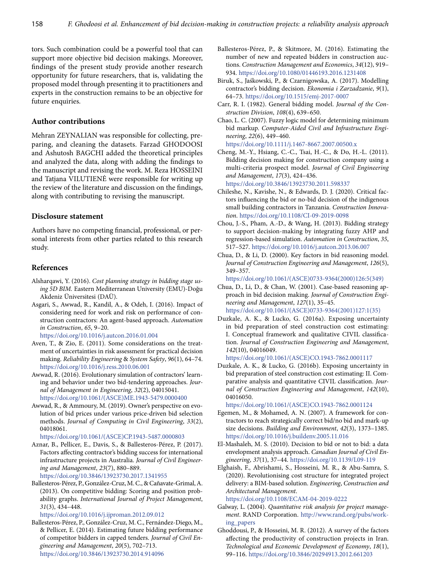tors. Such combination could be a powerful tool that can support more objective bid decision makings. Moreover, findings of the present study provide another research opportunity for future researchers, that is, validating the proposed model through presenting it to practitioners and experts in the construction remains to be an objective for future enquiries.

#### **Author contributions**

Mehran ZEYNALIAN was responsible for collecting, preparing, and cleaning the datasets. Farzad GHODOOSI and Ashutosh BAGCHI added the theoretical principles and analyzed the data, along with adding the findings to the manuscript and revising the work. M. Reza HOSSEINI and Tatjana VILUTIENĖ were responsible for writing up the review of the literature and discussion on the findings, along with contributing to revising the manuscript.

# **Disclosure statement**

Authors have no competing financial, professional, or personal interests from other parties related to this research study.

#### **References**

- Alsharqawi, Y. (2016). *Cost planning strategy in bidding stage using 5D BIM.* Eastern Mediterranean University (EMU)-Doğu Akdeniz Üniversitesi (DAÜ).
- Asgari, S., Awwad, R., Kandil, A., & Odeh, I. (2016). Impact of considering need for work and risk on performance of construction contractors: An agent-based approach. *Automation in Construction*, *65*, 9–20.

https://doi.org/10.1016/j.autcon.2016.01.004

- Aven, T., & Zio, E. (2011). Some considerations on the treatment of uncertainties in risk assessment for practical decision making. *Reliability Engineering* & *System Safety*, *96*(1), 64–74. https://doi.org/10.1016/j.ress.2010.06.001
- Awwad, R. (2016). Evolutionary simulation of contractors' learning and behavior under two bid-tendering approaches. *Journal of Management in Engineering*, *32*(2), 04015041. https://doi.org/10.1061/(ASCE)ME.1943-5479.0000400
- Awwad, R., & Ammoury, M. (2019). Owner's perspective on evolution of bid prices under various price-driven bid selection methods. *Journal of Computing in Civil Engineering*, *33*(2), 04018061.

https://doi.org/10.1061/(ASCE)CP.1943-5487.0000803

Aznar, B., Pellicer, E., Davis, S., & Ballesteros-Pérez, P. (2017). Factors affecting contractor's bidding success for international infrastructure projects in Australia. *Journal of Civil Engineering and Management*, *23*(7), 880–889. https://doi.org/10.3846/13923730.2017.1341955

Ballesteros-Pérez, P., González-Cruz, M. C., & Cañavate-Grimal, A.

(2013). On competitive bidding: Scoring and position probability graphs. *International Journal of Project Management*, *31*(3), 434–448.

https://doi.org/10.1016/j.ijproman.2012.09.012

Ballesteros-Pérez, P., González-Cruz, M. C., Fernández-Diego, M., & Pellicer, E. (2014). Estimating future bidding performance of competitor bidders in capped tenders. *Journal of Civil Engineering and Management*, *20*(5), 702–713. https://doi.org/10.3846/13923730.2014.914096

- Ballesteros-Pérez, P., & Skitmore, M. (2016). Estimating the number of new and repeated bidders in construction auctions. *Construction Management and Economics*, *34*(12), 919– 934. https://doi.org/10.1080/01446193.2016.1231408
- Biruk, S., Jaśkowski, P., & Czarnigowska, A. (2017). Modelling contractor's bidding decision. *Ekonomia i Zarzadzanie*, *9*(1), 64–73. https://doi.org/10.1515/emj-2017-0007
- Carr, R. I. (1982). General bidding model. *Journal of the Construction Division*, *108*(4), 639–650.
- Chao, L. C. (2007). Fuzzy logic model for determining minimum bid markup. *Computer‐Aided Civil and Infrastructure Engineering*, *22*(6), 449–460. https://doi.org/10.1111/j.1467-8667.2007.00500.x
- Cheng, M.-Y., Hsiang, C.-C., Tsai, H.-C., & Do, H.-L. (2011). Bidding decision making for construction company using a multi-criteria prospect model. *Journal of Civil Engineering and Management*, *17*(3), 424–436. https://doi.org/10.3846/13923730.2011.598337
- Chileshe, N., Kavishe, N., & Edwards, D. J. (2020). Critical factors influencing the bid or no-bid decision of the indigenous small building contractors in Tanzania. *Construction Innovation*. https://doi.org/10.1108/CI-09-2019-0098
- Chou, J.-S., Pham, A.-D., & Wang, H. (2013). Bidding strategy to support decision-making by integrating fuzzy AHP and regression-based simulation. *Automation in Construction*, *35*, 517–527. https://doi.org/10.1016/j.autcon.2013.06.007
- Chua, D., & Li, D. (2000). Key factors in bid reasoning model. *Journal of Construction Engineering and Management*, *126*(5), 349–357.

https://doi.org/10.1061/(ASCE)0733-9364(2000)126:5(349)

- Chua, D., Li, D., & Chan, W. (2001). Case-based reasoning approach in bid decision making. *Journal of Construction Engineering and Management*, *127*(1), 35–45. https://doi.org/10.1061/(ASCE)0733-9364(2001)127:1(35)
- Duzkale, A. K., & Lucko, G. (2016a). Exposing uncertainty in bid preparation of steel construction cost estimating: I. Conceptual framework and qualitative CIVIL classification. *Journal of Construction Engineering and Management*, *142*(10), 04016049.

https://doi.org/10.1061/(ASCE)CO.1943-7862.0001117

Duzkale, A. K., & Lucko, G. (2016b). Exposing uncertainty in bid preparation of steel construction cost estimating: II. Comparative analysis and quantitative CIVIL classification. *Journal of Construction Engineering and Management*, *142*(10), 04016050.

https://doi.org/10.1061/(ASCE)CO.1943-7862.0001124

- Egemen, M., & Mohamed, A. N. (2007). A framework for contractors to reach strategically correct bid/no bid and mark-up size decisions. *Building and Environment*, *42*(3), 1373–1385. https://doi.org/10.1016/j.buildenv.2005.11.016
- El-Mashaleh, M. S. (2010). Decision to bid or not to bid: a data envelopment analysis approach. *Canadian Journal of Civil Engineering*, *37*(1), 37–44. https://doi.org/10.1139/L09-119
- Elghaish, F., Abrishami, S., Hosseini, M. R., & Abu-Samra, S. (2020). Revolutionising cost structure for integrated project delivery: a BIM-based solution. *Engineering*, *Construction and Architectural Management*. https://doi.org/10.1108/ECAM-04-2019-0222
- Galway, L. (2004). *Quantitative risk analysis for project management*. RAND Corporation. http://www.rand.org/pubs/working\_papers
- Ghoddousi, P., & Hosseini, M. R. (2012). A survey of the factors affecting the productivity of construction projects in Iran. *Technological and Economic Development of Economy*, *18*(1), 99–116. https://doi.org/10.3846/20294913.2012.661203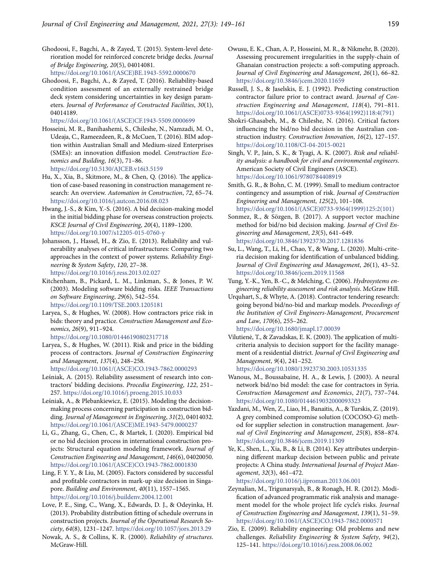- Ghodoosi, F., Bagchi, A., & Zayed, T. (2015). System-level deterioration model for reinforced concrete bridge decks. *Journal of Bridge Engineering*, *20*(5), 04014081. https://doi.org/10.1061/(ASCE)BE.1943-5592.0000670
- Ghodoosi, F., Bagchi, A., & Zayed, T. (2016). Reliability-based condition assessment of an externally restrained bridge deck system considering uncertainties in key design parameters. *Journal of Performance of Constructed Facilities*, *30*(1), 04014189.

https://doi.org/10.1061/(ASCE)CF.1943-5509.0000699

- Hosseini, M. R., Banihashemi, S., Chileshe, N., Namzadi, M. O., Udeaja, C., Rameezdeen, R., & McCuen, T. (2016). BIM adoption within Australian Small and Medium-sized Enterprises (SMEs): an innovation diffusion model. *Construction Economics and Building*, *16*(3), 71–86. https://doi.org/10.5130/AJCEB.v16i3.5159
- Hu, X., Xia, B., Skitmore, M., & Chen, Q. (2016). The application of case-based reasoning in construction management research: An overview. *Automation in Construction*, *72*, 65–74. https://doi.org/10.1016/j.autcon.2016.08.023
- Hwang, J.-S., & Kim, Y.-S. (2016). A bid decision-making model in the initial bidding phase for overseas construction projects. *KSCE Journal of Civil Engineering*, *20*(4), 1189–1200. https://doi.org/10.1007/s12205-015-0760-y
- Johansson, J., Hassel, H., & Zio, E. (2013). Reliability and vulnerability analyses of critical infrastructures: Comparing two approaches in the context of power systems. *Reliability Engineering* & *System Safety*, *120*, 27–38. https://doi.org/10.1016/j.ress.2013.02.027
- Kitchenham, B., Pickard, L. M., Linkman, S., & Jones, P. W. (2003). Modeling software bidding risks. *IEEE Transactions on Software Engineering*, *29*(6), 542–554. https://doi.org/10.1109/TSE.2003.1205181
- Laryea, S., & Hughes, W. (2008). How contractors price risk in bids: theory and practice. *Construction Management and Economics*, *26*(9), 911–924.

https://doi.org/10.1080/01446190802317718

- Laryea, S., & Hughes, W. (2011). Risk and price in the bidding process of contractors. *Journal of Construction Engineering and Management*, *137*(4), 248–258. https://doi.org/10.1061/(ASCE)CO.1943-7862.0000293
- Leśniak, A. (2015). Reliability assessment of research into contractors' bidding decisions. *Procedia Engineering*, *122*, 251– 257. https://doi.org/10.1016/j.proeng.2015.10.033
- Leśniak, A., & Plebankiewicz, E. (2015). Modeling the decisionmaking process concerning participation in construction bidding. *Journal of Management in Engineering*, *31*(2), 04014032. https://doi.org/10.1061/(ASCE)ME.1943-5479.0000237
- Li, G., Zhang, G., Chen, C., & Martek, I. (2020). Empirical bid or no bid decision process in international construction projects: Structural equation modeling framework. *Journal of Construction Engineering and Management*, *146*(6), 04020050. https://doi.org/10.1061/(ASCE)CO.1943-7862.0001830
- Ling, F. Y. Y., & Liu, M. (2005). Factors considered by successful and profitable contractors in mark-up size decision in Singapore. *Building and Environment*, *40*(11), 1557–1565. https://doi.org/10.1016/j.buildenv.2004.12.001
- Love, P. E., Sing, C., Wang, X., Edwards, D. J., & Odeyinka, H. (2013). Probability distribution fitting of schedule overruns in construction projects. *Journal of the Operational Research Society*, *64*(8), 1231–1247. <https://doi.org/10.1057/jors.2013.29>
- Nowak, A. S., & Collins, K. R. (2000). *Reliability of structures*. McGraw-Hill.
- Owusu, E. K., Chan, A. P., Hosseini, M. R., & Nikmehr, B. (2020). Assessing procurement irregularities in the supply-chain of Ghanaian construction projects: a soft-computing approach. *Journal of Civil Engineering and Management*, *26*(1), 66–82. https://doi.org/10.3846/jcem.2020.11659
- Russell, J. S., & Jaselskis, E. J. (1992). Predicting construction contractor failure prior to contract award. *Journal of Construction Engineering and Management*, *118*(4), 791–811. https://doi.org/10.1061/(ASCE)0733-9364(1992)118:4(791)
- Shokri-Ghasabeh, M., & Chileshe, N. (2016). Critical factors influencing the bid/no bid decision in the Australian construction industry. *Construction Innovation*, *16*(2), 127–157. https://doi.org/10.1108/CI-04-2015-0021
- Singh, V. P., Jain, S. K., & Tyagi, A. K. (2007). *Risk and reliability analysis: a handbook for civil and environmental engineers*. American Society of Civil Engineers (ASCE). https://doi.org/10.1061/9780784408919
- Smith, G. R., & Bohn, C. M. (1999). Small to medium contractor contingency and assumption of risk. *Journal of Construction Engineering and Management*, *125*(2), 101–108. https://doi.org/10.1061/(ASCE)0733-9364(1999)125:2(101)
- Sonmez, R., & Sözgen, B. (2017). A support vector machine method for bid/no bid decision making. *Journal of Civil Engineering and Management*, *23*(5), 641–649. https://doi.org/10.3846/13923730.2017.1281836
- Su, L., Wang, T., Li, H., Chao, Y., & Wang, L. (2020). Multi-criteria decision making for identification of unbalanced bidding. *Journal of Civil Engineering and Management*, *26*(1), 43–52. https://doi.org/10.3846/jcem.2019.11568
- Tung, Y.-K., Yen, B.-C., & Melching, C. (2006). *Hydrosystems engineering reliability assessment and risk analysis*. McGraw Hill.
- Urquhart, S., & Whyte, A. (2018). Contractor tendering research: going beyond bid/no-bid and markup models. *Proceedings of the Institution of Civil Engineers-Management*, *Procurement and Law*, *170*(6), 255–262.

https://doi.org/10.1680/jmapl.17.00039

Vilutienė, T., & Zavadskas, E. K. (2003). The application of multicriteria analysis to decision support for the facility management of a residential district. *Journal of Civil Engineering and Management*, *9*(4), 241–252.

https://doi.org/10.1080/13923730.2003.10531335

- Wanous, M., Boussabaine, H. A., & Lewis, J. (2003). A neural network bid/no bid model: the case for contractors in Syria. *Construction Management and Economics*, *21*(7), 737–744. https://doi.org/10.1080/0144619032000093323
- Yazdani, M., Wen, Z., Liao, H., Banaitis, A., & Turskis, Z. (2019). A grey combined compromise solution (COCOSO-G) method for supplier selection in construction management. *Journal of Civil Engineering and Management*, *25*(8), 858–874. https://doi.org/10.3846/jcem.2019.11309
- Ye, K., Shen, L., Xia, B., & Li, B. (2014). Key attributes underpinning different markup decision between public and private projects: A China study. *International Journal of Project Management*, *32*(3), 461–472.

https://doi.org/10.1016/j.ijproman.2013.06.001

- Zeynalian, M., Trigunarsyah, B., & Ronagh, H. R. (2012). Modification of advanced programmatic risk analysis and management model for the whole project life cycle's risks. *Journal of Construction Engineering and Management*, *139*(1), 51–59. https://doi.org/10.1061/(ASCE)CO.1943-7862.0000571
- Zio, E. (2009). Reliability engineering: Old problems and new challenges. *Reliability Engineering* & *System Safety*, *94*(2), 125–141. https://doi.org/10.1016/j.ress.2008.06.002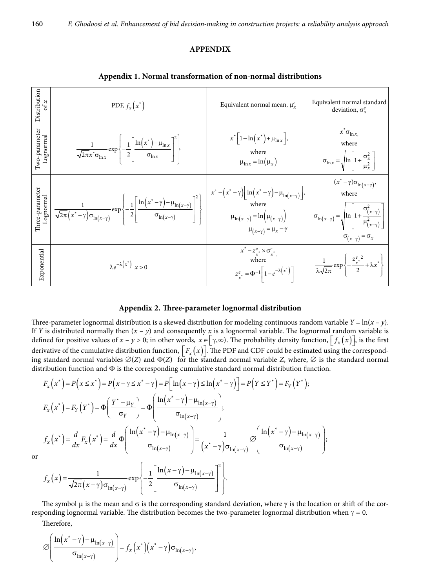# **APPENDIX**

| Distribution<br>of $x$               | PDF, $f_x(x^*)$                                                                                                                                                                                                                                                                                 | Equivalent normal mean, $\mu_r^e$                                                                                   | Equivalent normal standard<br>deviation, $\sigma_r^e$                                                                                                                                             |
|--------------------------------------|-------------------------------------------------------------------------------------------------------------------------------------------------------------------------------------------------------------------------------------------------------------------------------------------------|---------------------------------------------------------------------------------------------------------------------|---------------------------------------------------------------------------------------------------------------------------------------------------------------------------------------------------|
| Iwo-parameter<br>Lognormal           | $\frac{1}{\sqrt{2\pi}x^*\sigma_{\ln x}}\exp\left\{-\frac{1}{2}\left[\frac{\ln(x^*)-\mu_{\ln x}}{\sigma_{\ln x}}\right]^2\right\}$                                                                                                                                                               | $x^*$   1 - $\ln(x^*)$ + $\mu_{\ln x}$  ,<br>where<br>$\mu_{\ln x} = \ln(\mu_x)$                                    | $x^* \sigma_{\ln x}$<br>where<br>$\sigma_{\ln x} = \sqrt{\ln \left(1 + \frac{\sigma_x^2}{\mu_y^2}\right)}$                                                                                        |
| Three-parameter<br><b>Lettaocond</b> | $\frac{1}{\sqrt{2\pi}(x^* - \gamma)\sigma_{\ln(x-\gamma)}} \exp\left\{-\frac{1}{2}\left[\frac{\ln(x^* - \gamma) - \mu_{\ln(x-\gamma)}}{\sigma_{\ln(x-\gamma)}}\right]^2\right\}$ $\left \begin{array}{cc} \lambda & \lambda \\ \mu_{\ln(x-\gamma)} = \ln(\mu_{(x-\gamma)}) \end{array}\right\ $ | $x^* - (x^* - \gamma) \left[ ln(x^* - \gamma) - \mu_{ln(x-\gamma)} \right],$<br>$\mu_{(x-\gamma)} = \mu_x - \gamma$ | $(x^* - \gamma)\sigma_{\ln(x-\gamma)},$<br>where<br>$\sigma_{\ln(x-\gamma)} = \sqrt{\ln \left  1 + \frac{\sigma_{(x-\gamma)}^2}{\mu_{(x-\gamma)}^2} \right }$<br>$\sigma_{(x-\gamma)} = \sigma_x$ |
| Exponential                          | $\lambda e^{-\lambda(x^*)}$ $x>0$                                                                                                                                                                                                                                                               | $x^* - z_{x^*}^e \times \sigma_{x^*}^e$<br>where                                                                    | $\left  \frac{1}{\lambda \sqrt{2\pi}} \exp \left\{ -\frac{z_{x}^{e}}{2} + \lambda x^* \right\} \right $                                                                                           |

### **Appendix 1. Normal transformation of non-normal distributions**

# **Appendix 2. Three-parameter lognormal distribution**

Three-parameter lognormal distribution is a skewed distribution for modeling continuous random variable  $Y = \ln(x - y)$ . If *Y* is distributed normally then  $(x - y)$  and consequently *x* is a lognormal variable. The lognormal random variable is defined for positive values of  $x - y > 0$ ; in other words,  $x \in [\gamma, \infty)$ . The probability density function,  $\left[ f_x(x) \right]$ , is the first derivative of the cumulative distribution function,  $[F_x(x)]$ . The PDF and CDF could be estimated using the corresponding standard normal variables  $\emptyset(Z)$  and  $\Phi(Z)$  for the standard normal variable *Z*, where,  $\emptyset$  is the standard normal distribution function and  $\Phi$  is the corresponding cumulative standard normal distribution function.

$$
F_x(x^*) = P(x \le x^*) = P(x - \gamma \le x^* - \gamma) = P\Big[\ln(x - \gamma) \le \ln(x^* - \gamma)\Big] = P(Y \le Y^*) = F_Y(Y^*);
$$
  
\n
$$
F_x(x^*) = F_Y(Y^*) = \Phi\Big(\frac{Y^* - \mu_Y}{\sigma_Y}\Big) = \Phi\Big(\frac{\ln(x^* - \gamma) - \mu_{\ln(x - \gamma)}}{\sigma_{\ln(x - \gamma)}}\Big);
$$
  
\n
$$
f_x(x^*) = \frac{d}{dx}F_x(x^*) = \frac{d}{dx}\Phi\Big(\frac{\ln(x^* - \gamma) - \mu_{\ln(x - \gamma)}}{\sigma_{\ln(x - \gamma)}}\Big) = \frac{1}{(x^* - \gamma)\sigma_{\ln(x - \gamma)}}\mathcal{O}\Big(\frac{\ln(x^* - \gamma) - \mu_{\ln(x - \gamma)}}{\sigma_{\ln(x - \gamma)}}\Big);
$$
  
\n
$$
f_x(x) = \frac{1}{\sqrt{2\pi}(\mu_x \mu_x) - \mu_x \mu_x \mu_y} = \exp\Big\{-\frac{1}{2}\Big[\frac{\ln(x - \gamma) - \mu_{\ln(x - \gamma)}}{\sigma_{\ln(x - \gamma)}}\Big]^2\Big\}.
$$

or

$$
f_x(x) = \frac{1}{\sqrt{2\pi} (x - \gamma) \sigma_{\ln(x - \gamma)}} \exp \left\{-\frac{1}{2} \left[ \frac{\ln(x - \gamma) - \mu_{\ln(x - \gamma)}}{\sigma_{\ln(x - \gamma)}} \right]^2 \right\}.
$$

The symbol  $\mu$  is the mean and  $\sigma$  is the corresponding standard deviation, where  $\gamma$  is the location or shift of the corresponding lognormal variable. The distribution becomes the two-parameter lognormal distribution when  $\gamma = 0$ . Therefore,

$$
\varnothing \Bigg(\frac{\ln\bigl(x^*-\gamma\bigr)-\mu_{\ln\bigl(x-\gamma\bigr)}}{\sigma_{\ln\bigl(x-\gamma\bigr)}}\Bigg)=f_x\Bigl(x^*\Bigr)\Bigl(x^*-\gamma\Bigr)\sigma_{\ln\bigl(x-\gamma\bigr)},
$$